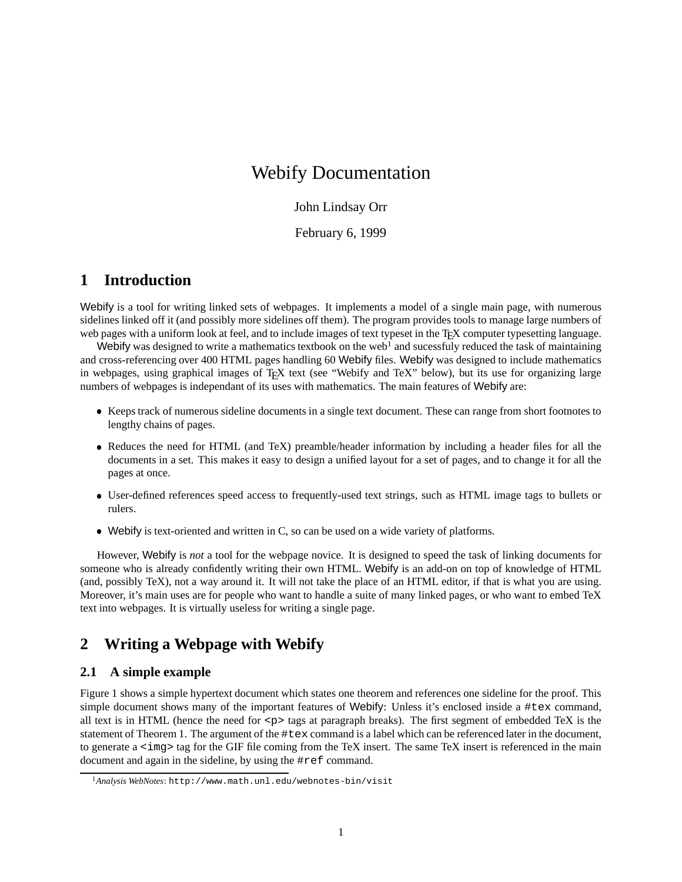# Webify Documentation

### John Lindsay Orr

February 6, 1999

# **1 Introduction**

Webify is a tool for writing linked sets of webpages. It implements a model of a single main page, with numerous sidelines linked off it (and possibly more sidelines off them). The program provides tools to manage large numbers of web pages with a uniform look at feel, and to include images of text typeset in the T<sub>EX</sub> computer typesetting language.

Webify was designed to write a mathematics textbook on the web<sup>1</sup> and sucessfuly reduced the task of maintaining and cross-referencing over 400 HTML pages handling 60 Webify files. Webify was designed to include mathematics in webpages, using graphical images of T<sub>E</sub>X text (see "Webify and TeX" below), but its use for organizing large numbers of webpages is independant of its uses with mathematics. The main features of Webify are:

- Keeps track of numerous sideline documents in a single text document. These can range from short footnotes to lengthy chains of pages.
- Reduces the need for HTML (and TeX) preamble/header information by including a header files for all the documents in a set. This makes it easy to design a unified layout for a set of pages, and to change it for all the pages at once.
- User-defined references speed access to frequently-used text strings, such as HTML image tags to bullets or rulers.
- Webify is text-oriented and written in C, so can be used on a wide variety of platforms.

However, Webify is *not* a tool for the webpage novice. It is designed to speed the task of linking documents for someone who is already confidently writing their own HTML. Webify is an add-on on top of knowledge of HTML (and, possibly TeX), not a way around it. It will not take the place of an HTML editor, if that is what you are using. Moreover, it's main uses are for people who want to handle a suite of many linked pages, or who want to embed TeX text into webpages. It is virtually useless for writing a single page.

# **2 Writing a Webpage with Webify**

## **2.1 A simple example**

Figure 1 shows a simple hypertext document which states one theorem and references one sideline for the proof. This simple document shows many of the important features of Webify: Unless it's enclosed inside a #tex command, all text is in HTML (hence the need for  $\langle p \rangle$  tags at paragraph breaks). The first segment of embedded TeX is the statement of Theorem 1. The argument of the #tex command is a label which can be referenced later in the document, to generate a <img> tag for the GIF file coming from the TeX insert. The same TeX insert is referenced in the main document and again in the sideline, by using the #ref command.

<sup>1</sup>*Analysis WebNotes*: http://www.math.unl.edu/webnotes-bin/visit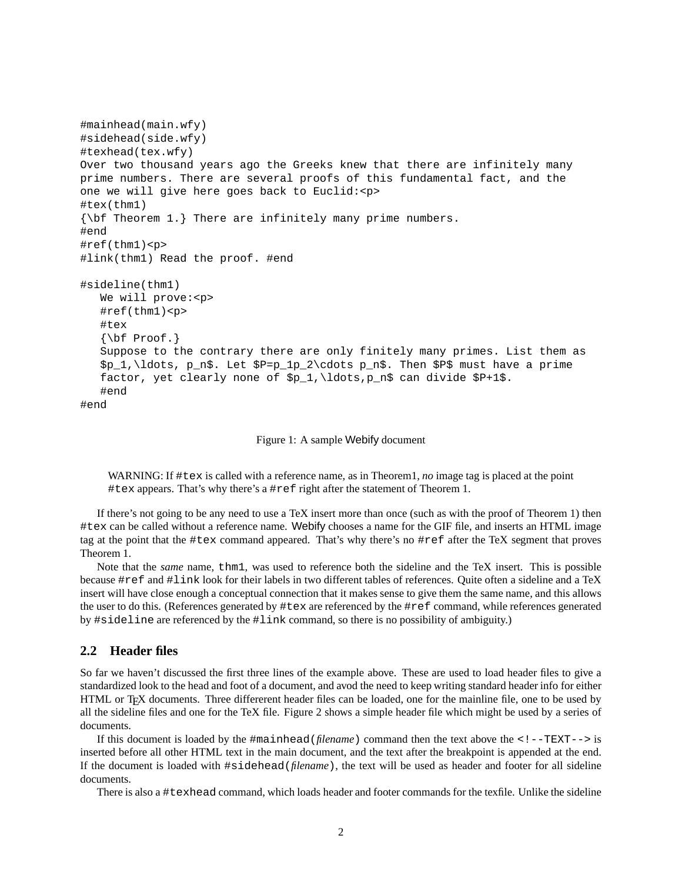```
#mainhead(main.wfy)
#sidehead(side.wfy)
#texhead(tex.wfy)
Over two thousand years ago the Greeks knew that there are infinitely many
prime numbers. There are several proofs of this fundamental fact, and the
one we will give here goes back to Euclid:<p>
#tex(thm1)
{\bf Theorem 1.} There are infinitely many prime numbers.
#end
#ref(thm1)<p>
#link(thm1) Read the proof. #end
#sideline(thm1)
   We will prove:<p>
   #ref(thm1)<p>
   #tex
   \{\hbox{bf Proof.}\}Suppose to the contrary there are only finitely many primes. List them as
   $p_1,\ldots, p_n$. Let $P=p_1p_2\cdots p_n$. Then $P$ must have a prime
   factor, yet clearly none of $p_1,\ldots,p_n$ can divide $P+1$.
   #end
#end
```
Figure 1: A sample Webify document

WARNING: If #tex is called with a reference name, as in Theorem1, *no* image tag is placed at the point #tex appears. That's why there's a #ref right after the statement of Theorem 1.

If there's not going to be any need to use a TeX insert more than once (such as with the proof of Theorem 1) then #tex can be called without a reference name. Webify chooses a name for the GIF file, and inserts an HTML image tag at the point that the #tex command appeared. That's why there's no #ref after the TeX segment that proves Theorem 1.

Note that the *same* name, thm1, was used to reference both the sideline and the TeX insert. This is possible because #ref and #link look for their labels in two different tables of references. Quite often a sideline and a TeX insert will have close enough a conceptual connection that it makes sense to give them the same name, and this allows the user to do this. (References generated by #tex are referenced by the #ref command, while references generated by #sideline are referenced by the #link command, so there is no possibility of ambiguity.)

## **2.2 Header files**

So far we haven't discussed the first three lines of the example above. These are used to load header files to give a standardized look to the head and foot of a document, and avod the need to keep writing standard header info for either HTML or TEX documents. Three differerent header files can be loaded, one for the mainline file, one to be used by all the sideline files and one for the TeX file. Figure 2 shows a simple header file which might be used by a series of documents.

If this document is loaded by the #mainhead(*filename*) command then the text above the <!--TEXT--> is inserted before all other HTML text in the main document, and the text after the breakpoint is appended at the end. If the document is loaded with #sidehead(*filename*), the text will be used as header and footer for all sideline documents.

There is also a #texhead command, which loads header and footer commands for the texfile. Unlike the sideline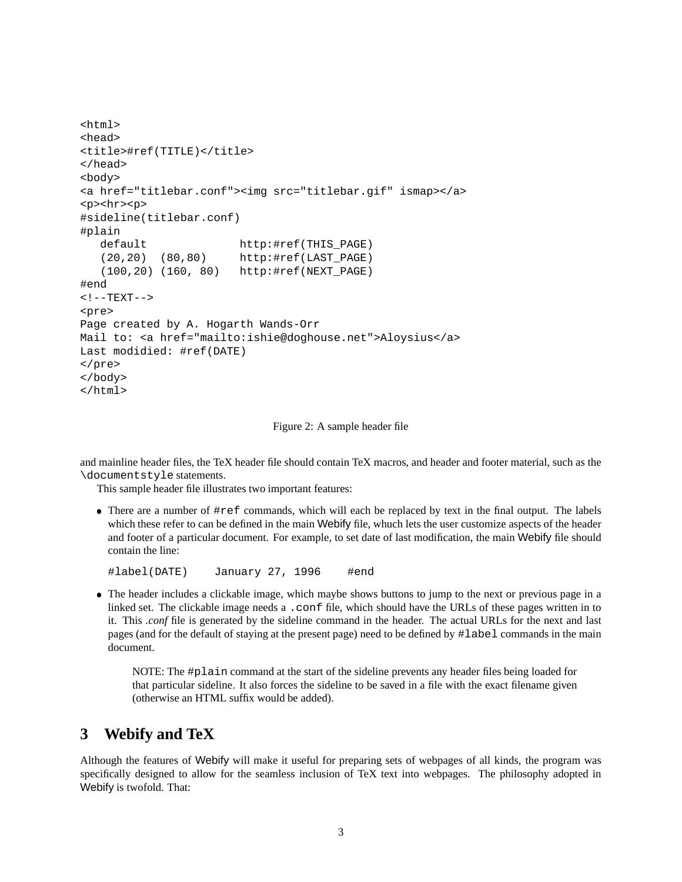```
<html>
<head>
<title>#ref(TITLE)</title>
</head>
<body>
<a href="titlebar.conf"><img src="titlebar.gif" ismap></a>
<p><hr><p>
#sideline(titlebar.conf)
#plain
   default http:#ref(THIS_PAGE)
   (20,20) (80,80) http:#ref(LAST_PAGE)
   (100,20) (160, 80) http:#ref(NEXT_PAGE)
#end
\langle! --TEXT-->
<pre>
Page created by A. Hogarth Wands-Orr
Mail to: <a href="mailto:ishie@doghouse.net">Aloysius</a>
Last modidied: #ref(DATE)
</pre>
</body>
</html>
```
Figure 2: A sample header file

and mainline header files, the TeX header file should contain TeX macros, and header and footer material, such as the \documentstyle statements.

This sample header file illustrates two important features:

 There are a number of #ref commands, which will each be replaced by text in the final output. The labels which these refer to can be defined in the main Webify file, whuch lets the user customize aspects of the header and footer of a particular document. For example, to set date of last modification, the main Webify file should contain the line:

#label(DATE) January 27, 1996 #end

 The header includes a clickable image, which maybe shows buttons to jump to the next or previous page in a linked set. The clickable image needs a .conf file, which should have the URLs of these pages written in to it. This *.conf* file is generated by the sideline command in the header. The actual URLs for the next and last pages (and for the default of staying at the present page) need to be defined by #label commands in the main document.

NOTE: The #plain command at the start of the sideline prevents any header files being loaded for that particular sideline. It also forces the sideline to be saved in a file with the exact filename given (otherwise an HTML suffix would be added).

## **3 Webify and TeX**

Although the features of Webify will make it useful for preparing sets of webpages of all kinds, the program was specifically designed to allow for the seamless inclusion of TeX text into webpages. The philosophy adopted in Webify is twofold. That: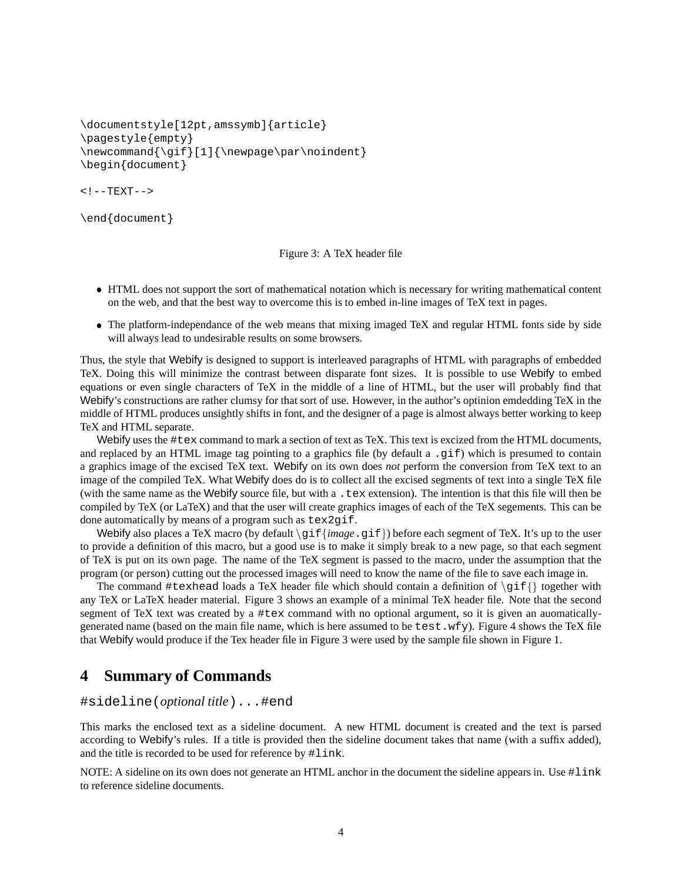```
\documentstyle[12pt,amssymb]{article}
\pagestyle{empty}
\newcommand{\gif}[1]{\newpage\par\noindent}
\begin{document}
```

```
<! -TEXT->
```

```
\end{document}
```
Figure 3: A TeX header file

- HTML does not support the sort of mathematical notation which is necessary for writing mathematical content on the web, and that the best way to overcome this is to embed in-line images of TeX text in pages.
- The platform-independance of the web means that mixing imaged TeX and regular HTML fonts side by side will always lead to undesirable results on some browsers.

Thus, the style that Webify is designed to support is interleaved paragraphs of HTML with paragraphs of embedded TeX. Doing this will minimize the contrast between disparate font sizes. It is possible to use Webify to embed equations or even single characters of TeX in the middle of a line of HTML, but the user will probably find that Webify's constructions are rather clumsy for that sort of use. However, in the author's optinion emdedding TeX in the middle of HTML produces unsightly shifts in font, and the designer of a page is almost always better working to keep TeX and HTML separate.

Webify uses the #tex command to mark a section of text as TeX. This text is excized from the HTML documents, and replaced by an HTML image tag pointing to a graphics file (by default a .gif) which is presumed to contain a graphics image of the excised TeX text. Webify on its own does *not* perform the conversion from TeX text to an image of the compiled TeX. What Webify does do is to collect all the excised segments of text into a single TeX file (with the same name as the Webify source file, but with a .tex extension). The intention is that this file will then be compiled by TeX (or LaTeX) and that the user will create graphics images of each of the TeX segements. This can be done automatically by means of a program such as tex2gif.

Webify also places a TeX macro (by default  $\gtrsim f \{image \cdot g \text{ if } \}$ ) before each segment of TeX. It's up to the user to provide a definition of this macro, but a good use is to make it simply break to a new page, so that each segment of TeX is put on its own page. The name of the TeX segment is passed to the macro, under the assumption that the program (or person) cutting out the processed images will need to know the name of the file to save each image in.

The command #texhead loads a TeX header file which should contain a definition of  $\gtrsim f$  together with any TeX or LaTeX header material. Figure 3 shows an example of a minimal TeX header file. Note that the second segment of TeX text was created by a #tex command with no optional argument, so it is given an auomaticallygenerated name (based on the main file name, which is here assumed to be test.wfy). Figure 4 shows the TeX file that Webify would produce if the Tex header file in Figure 3 were used by the sample file shown in Figure 1.

# **4 Summary of Commands**

### #sideline(*optional title*)...#end

This marks the enclosed text as a sideline document. A new HTML document is created and the text is parsed according to Webify's rules. If a title is provided then the sideline document takes that name (with a suffix added), and the title is recorded to be used for reference by #link.

NOTE: A sideline on its own does not generate an HTML anchor in the document the sideline appears in. Use #link to reference sideline documents.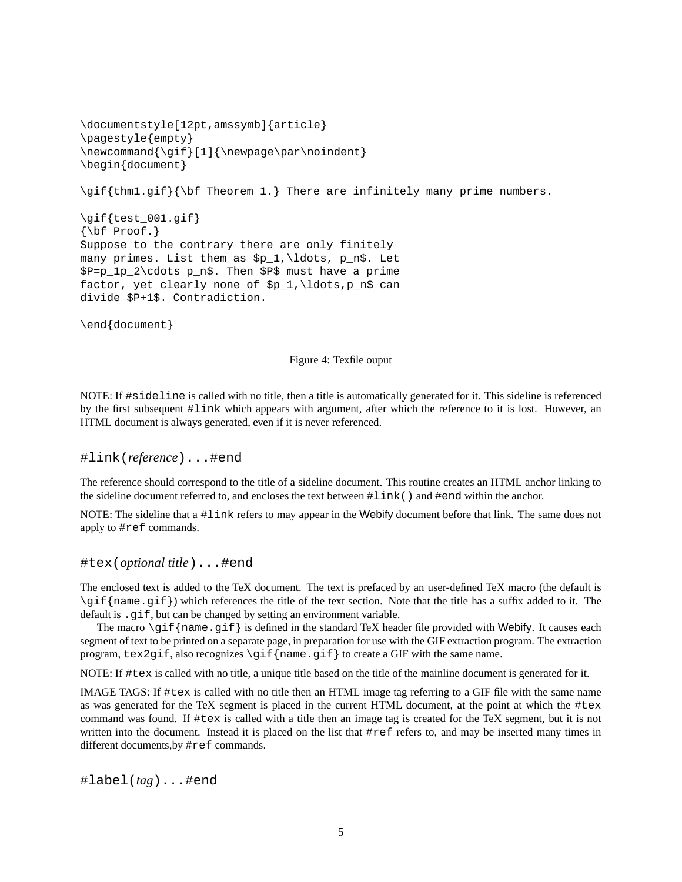```
\documentstyle[12pt,amssymb]{article}
\pagestyle{empty}
\newcommand{\gif}[1]{\newpage\par\noindent}
\begin{document}
\gif{thm1.gif}{\bf Theorem 1.} There are infinitely many prime numbers.
\gif{test_001.gif}
\{\hbox{bf Proof.}\}Suppose to the contrary there are only finitely
many primes. List them as $p_1,\ldots, p_n$. Let
$P=p_1p_2\cdots p_n$. Then $P$ must have a prime
factor, yet clearly none of sp_1,\ldots,p_n\ can
divide $P+1$. Contradiction.
```
\end{document}

#### Figure 4: Texfile ouput

NOTE: If #sideline is called with no title, then a title is automatically generated for it. This sideline is referenced by the first subsequent #link which appears with argument, after which the reference to it is lost. However, an HTML document is always generated, even if it is never referenced.

#### #link(*reference*)...#end

The reference should correspond to the title of a sideline document. This routine creates an HTML anchor linking to the sideline document referred to, and encloses the text between #link() and #end within the anchor.

NOTE: The sideline that a #link refers to may appear in the Webify document before that link. The same does not apply to #ref commands.

#tex(*optional title*)...#end

The enclosed text is added to the TeX document. The text is prefaced by an user-defined TeX macro (the default is \gif{name.gif}) which references the title of the text section. Note that the title has a suffix added to it. The default is . gif, but can be changed by setting an environment variable.

The macro  $\sqrt{g}$  f {name.gif} is defined in the standard TeX header file provided with Webify. It causes each segment of text to be printed on a separate page, in preparation for use with the GIF extraction program. The extraction program,  $text2gif, also recognizes \gif{name.gif} to create a GIF with the same name.$ 

NOTE: If #tex is called with no title, a unique title based on the title of the mainline document is generated for it.

IMAGE TAGS: If #tex is called with no title then an HTML image tag referring to a GIF file with the same name as was generated for the TeX segment is placed in the current HTML document, at the point at which the #tex command was found. If #tex is called with a title then an image tag is created for the TeX segment, but it is not written into the document. Instead it is placed on the list that #ref refers to, and may be inserted many times in different documents,by #ref commands.

#label(*tag*)...#end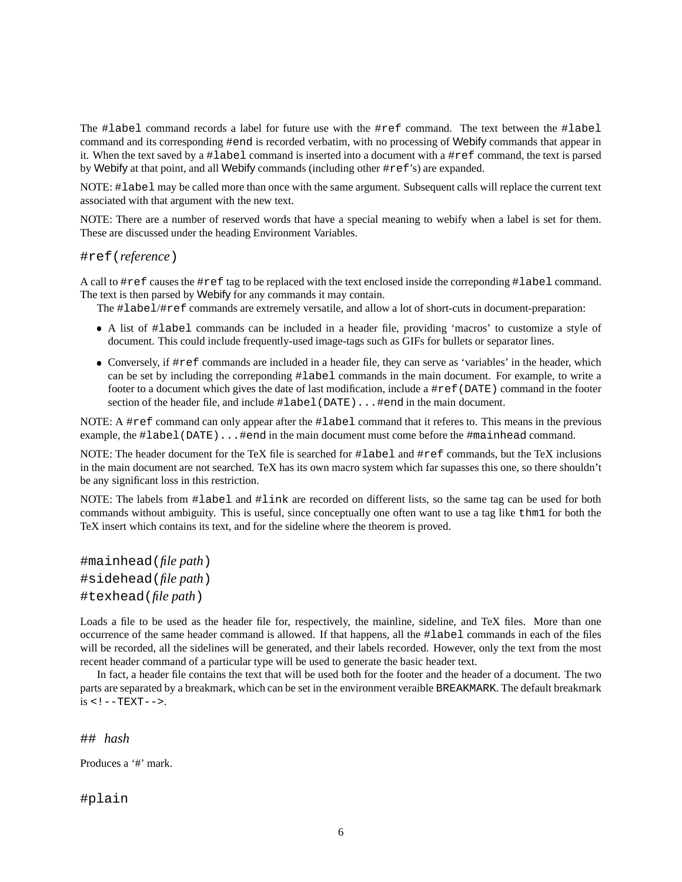The #label command records a label for future use with the #ref command. The text between the #label command and its corresponding #end is recorded verbatim, with no processing of Webify commands that appear in it. When the text saved by a #label command is inserted into a document with a #ref command, the text is parsed by Webify at that point, and all Webify commands (including other #ref's) are expanded.

NOTE: #label may be called more than once with the same argument. Subsequent calls will replace the current text associated with that argument with the new text.

NOTE: There are a number of reserved words that have a special meaning to webify when a label is set for them. These are discussed under the heading Environment Variables.

#### #ref(*reference*)

A call to #ref causes the #ref tag to be replaced with the text enclosed inside the correponding #label command. The text is then parsed by Webify for any commands it may contain.

The #label/#ref commands are extremely versatile, and allow a lot of short-cuts in document-preparation:

- A list of #label commands can be included in a header file, providing 'macros' to customize a style of document. This could include frequently-used image-tags such as GIFs for bullets or separator lines.
- Conversely, if #ref commands are included in a header file, they can serve as 'variables' in the header, which can be set by including the correponding #label commands in the main document. For example, to write a footer to a document which gives the date of last modification, include a #ref(DATE) command in the footer section of the header file, and include #label(DATE)...#end in the main document.

NOTE: A #ref command can only appear after the #label command that it referes to. This means in the previous example, the #label(DATE)...#end in the main document must come before the #mainhead command.

NOTE: The header document for the TeX file is searched for #label and #ref commands, but the TeX inclusions in the main document are not searched. TeX has its own macro system which far supasses this one, so there shouldn't be any significant loss in this restriction.

NOTE: The labels from #label and #link are recorded on different lists, so the same tag can be used for both commands without ambiguity. This is useful, since conceptually one often want to use a tag like thm1 for both the TeX insert which contains its text, and for the sideline where the theorem is proved.

#mainhead(*file path*) #sidehead(*file path*) #texhead(*file path*)

Loads a file to be used as the header file for, respectively, the mainline, sideline, and TeX files. More than one occurrence of the same header command is allowed. If that happens, all the #label commands in each of the files will be recorded, all the sidelines will be generated, and their labels recorded. However, only the text from the most recent header command of a particular type will be used to generate the basic header text.

In fact, a header file contains the text that will be used both for the footer and the header of a document. The two parts are separated by a breakmark, which can be set in the environment veraible BREAKMARK. The default breakmark  $is < !--TEXT--$ 

## *hash*

Produces a '#' mark.

#plain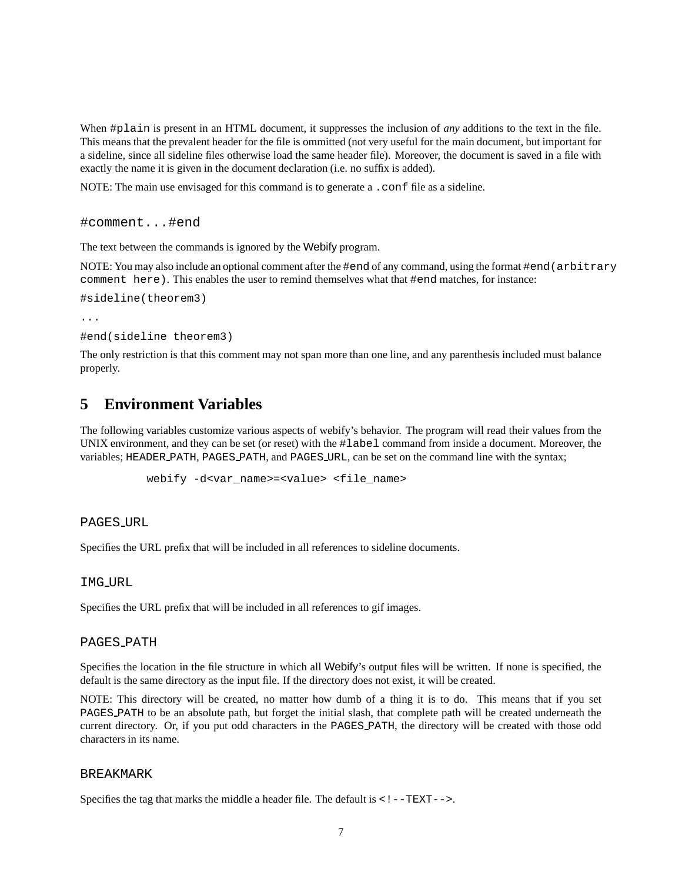When #plain is present in an HTML document, it suppresses the inclusion of *any* additions to the text in the file. This means that the prevalent header for the file is ommitted (not very useful for the main document, but important for a sideline, since all sideline files otherwise load the same header file). Moreover, the document is saved in a file with exactly the name it is given in the document declaration (i.e. no suffix is added).

NOTE: The main use envisaged for this command is to generate a .confile as a sideline.

```
#comment...#end
```
The text between the commands is ignored by the Webify program.

NOTE: You may also include an optional comment after the #end of any command, using the format #end(arbitrary comment here). This enables the user to remind themselves what that #end matches, for instance:

```
#sideline(theorem3)
```
...

```
#end(sideline theorem3)
```
The only restriction is that this comment may not span more than one line, and any parenthesis included must balance properly.

# **5 Environment Variables**

The following variables customize various aspects of webify's behavior. The program will read their values from the UNIX environment, and they can be set (or reset) with the #label command from inside a document. Moreover, the variables; HEADER PATH, PAGES PATH, and PAGES URL, can be set on the command line with the syntax;

webify -d<var name>=<value> <file name>

#### PAGES URL

Specifies the URL prefix that will be included in all references to sideline documents.

### IMG URL

Specifies the URL prefix that will be included in all references to gif images.

#### PAGES PATH

Specifies the location in the file structure in which all Webify's output files will be written. If none is specified, the default is the same directory as the input file. If the directory does not exist, it will be created.

NOTE: This directory will be created, no matter how dumb of a thing it is to do. This means that if you set PAGES PATH to be an absolute path, but forget the initial slash, that complete path will be created underneath the current directory. Or, if you put odd characters in the PAGES PATH, the directory will be created with those odd characters in its name.

#### BREAKMARK

Specifies the tag that marks the middle a header file. The default is  $\lt!!$  --TEXT-->.